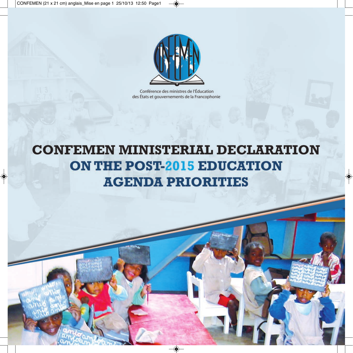

Conférence des ministres de l'Éducation des États et gouvernements de la Francophonie

# **CONFEMEN MINISTERIAL DECLARATION ON THE POST-2015 EDUCATION AGENDA PRIORITIES**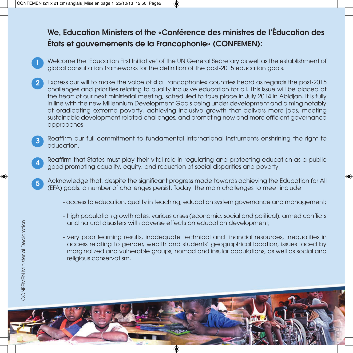## We, Education Ministers of the «Conférence des ministres de l'Éducation des États et gouvernements de la Francophonie» (CONFEMEN):

- Welcome the "Education First Initiative" of the UN General Secretary as well as the establishment of global consultation frameworks for the definition of the post-2015 education goals. 1
- Express our will to make the voice of «La Francophonie» countries heard as regards the post-2015 challenges and priorities relating to quality inclusive education for all. This issue will be placed at the heart of our next ministerial meeting, scheduled to take place in July 2014 in Abidjan. It is fully in line with the new Millennium Development Goals being under development and aiming notably at eradicating extreme poverty, achieving inclusive growth that delivers more jobs, meeting sustainable development related challenges, and promoting new and more efficient governance approaches. 2
- Reaffirm our full commitment to fundamental international instruments enshrining the right to education. 3
- Reaffirm that States must play their vital role in regulating and protecting education as a public good promoting equality, equity, and reduction of social disparities and poverty. 4
- Acknowledge that, despite the significant progress made towards achieving the Education for All (EFA) goals, a number of challenges persist. Today, the main challenges to meet include: 5
	- access to education, quality in teaching, education system governance and management;
	- high population growth rates, various crises (economic, social and political), armed conflicts and natural disasters with adverse effects on education development;
	- very poor learning results, inadequate technical and financial resources, inequalities in access relating to gender, wealth and students' geographical location, issues faced by marginalized and vulnerable groups, nomad and insular populations, as well as social and religious conservatism.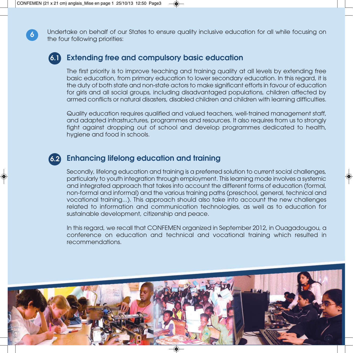Undertake on behalf of our States to ensure quality inclusive education for all while focusing on the four following priorities:

### Extending free and compulsory basic education 6.1

The first priority is to improve teaching and training quality at all levels by extending free basic education, from primary education to lower secondary education. In this regard, it is the duty of both state and non-state actors to make significant efforts in favour of education for girls and all social groups, including disadvantaged populations, children affected by armed conflicts or natural disasters, disabled children and children with learning difficulties.

Quality education requires qualified and valued teachers, well-trained management staff, and adapted infrastructures, programmes and resources. It also requires from us to strongly fight against dropping out of school and develop programmes dedicated to health, hygiene and food in schools.

#### Enhancing lifelong education and training 6.2

Secondly, lifelong education and training is a preferred solution to current social challenges, particularly to youth integration through employment. This learning mode involves a systemic and integrated approach that takes into account the different forms of education (formal, non-formal and informal) and the various training paths (preschool, general, technical and vocational training...). This approach should also take into account the new challenges related to information and communication technologies, as well as to education for sustainable development, citizenship and peace.

In this regard, we recall that CONFEMEN organized in September 2012, in Ouagadougou, a conference on education and technical and vocational training which resulted in recommendations.



6